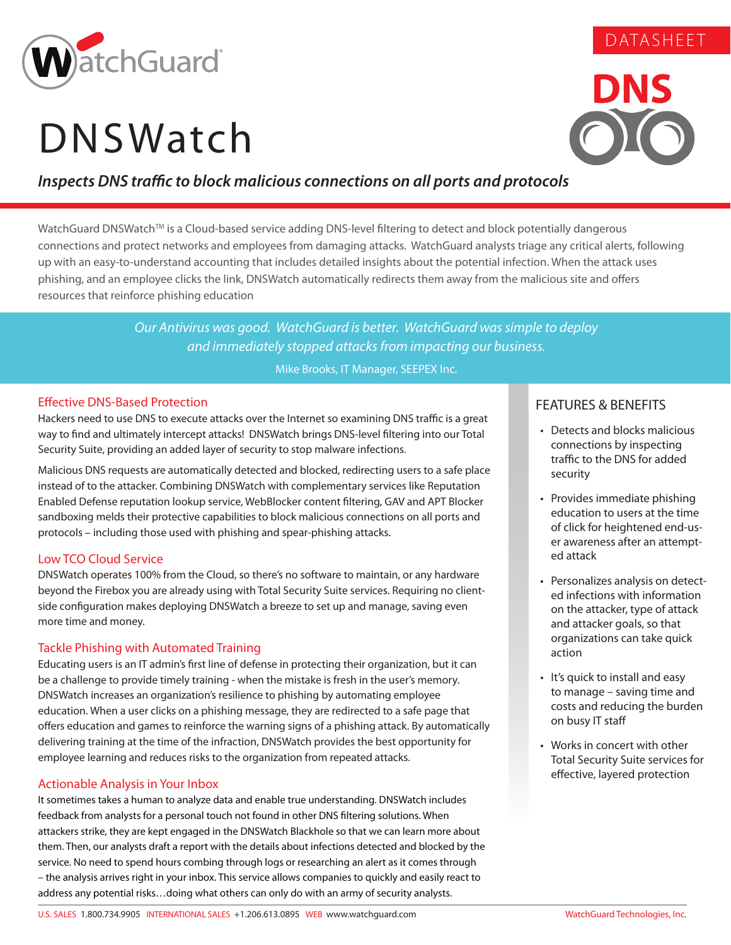

# **DNSWatch**



DATASHEET

### *Inspects DNS traffic to block malicious connections on all ports and protocols*

WatchGuard DNSWatch™ is a Cloud-based service adding DNS-level filtering to detect and block potentially dangerous connections and protect networks and employees from damaging attacks. WatchGuard analysts triage any critical alerts, following up with an easy-to-understand accounting that includes detailed insights about the potential infection. When the attack uses phishing, and an employee clicks the link, DNSWatch automatically redirects them away from the malicious site and offers resources that reinforce phishing education

> *Our Antivirus was good. WatchGuard is better. WatchGuard was simple to deploy and immediately stopped attacks from impacting our business.*

> > Mike Brooks, IT Manager, SEEPEX Inc.

#### Effective DNS-Based Protection

Hackers need to use DNS to execute attacks over the Internet so examining DNS traffic is a great way to find and ultimately intercept attacks! DNSWatch brings DNS-level filtering into our Total Security Suite, providing an added layer of security to stop malware infections.

Malicious DNS requests are automatically detected and blocked, redirecting users to a safe place instead of to the attacker. Combining DNSWatch with complementary services like Reputation Enabled Defense reputation lookup service, WebBlocker content filtering, GAV and APT Blocker sandboxing melds their protective capabilities to block malicious connections on all ports and protocols – including those used with phishing and spear-phishing attacks.

#### Low TCO Cloud Service

DNSWatch operates 100% from the Cloud, so there's no software to maintain, or any hardware beyond the Firebox you are already using with Total Security Suite services. Requiring no clientside configuration makes deploying DNSWatch a breeze to set up and manage, saving even more time and money.

#### Tackle Phishing with Automated Training

Educating users is an IT admin's first line of defense in protecting their organization, but it can be a challenge to provide timely training - when the mistake is fresh in the user's memory. DNSWatch increases an organization's resilience to phishing by automating employee education. When a user clicks on a phishing message, they are redirected to a safe page that offers education and games to reinforce the warning signs of a phishing attack. By automatically delivering training at the time of the infraction, DNSWatch provides the best opportunity for employee learning and reduces risks to the organization from repeated attacks.

#### Actionable Analysis in Your Inbox

It sometimes takes a human to analyze data and enable true understanding. DNSWatch includes feedback from analysts for a personal touch not found in other DNS filtering solutions. When attackers strike, they are kept engaged in the DNSWatch Blackhole so that we can learn more about them. Then, our analysts draft a report with the details about infections detected and blocked by the service. No need to spend hours combing through logs or researching an alert as it comes through – the analysis arrives right in your inbox. This service allows companies to quickly and easily react to address any potential risks…doing what others can only do with an army of security analysts.

#### FEATURES & BENEFITS

- Detects and blocks malicious connections by inspecting traffic to the DNS for added security
- Provides immediate phishing education to users at the time of click for heightened end-user awareness after an attempted attack
- Personalizes analysis on detected infections with information on the attacker, type of attack and attacker goals, so that organizations can take quick action
- It's quick to install and easy to manage – saving time and costs and reducing the burden on busy IT staff
- Works in concert with other Total Security Suite services for effective, layered protection